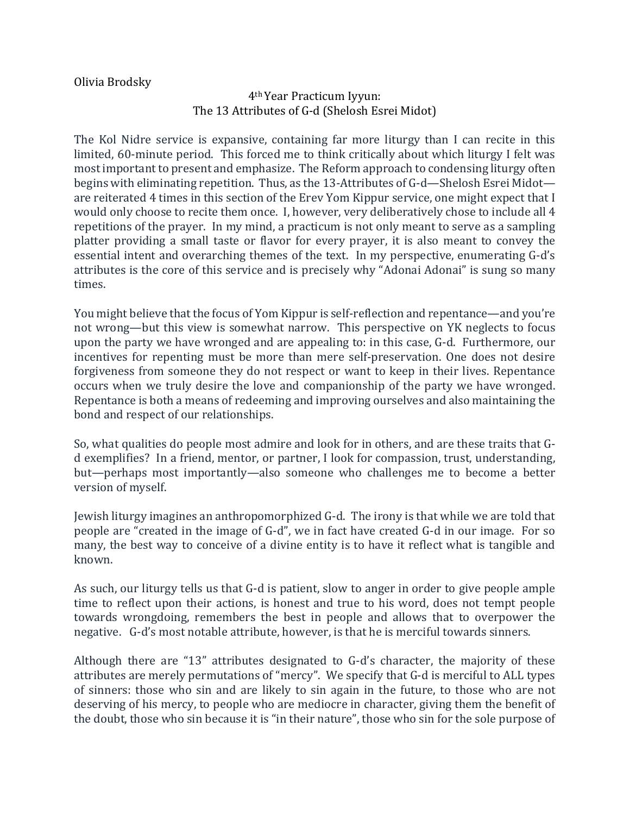Olivia Brodsky

## 4th Year Practicum Iyyun: The 13 Attributes of G-d (Shelosh Esrei Midot)

The Kol Nidre service is expansive, containing far more liturgy than I can recite in this limited, 60-minute period. This forced me to think critically about which liturgy I felt was most important to present and emphasize. The Reform approach to condensing liturgy often begins with eliminating repetition. Thus, as the 13-Attributes of G-d—Shelosh Esrei Midot are reiterated 4 times in this section of the Erev Yom Kippur service, one might expect that I would only choose to recite them once. I, however, very deliberatively chose to include all 4 repetitions of the prayer. In my mind, a practicum is not only meant to serve as a sampling platter providing a small taste or flavor for every prayer, it is also meant to convey the essential intent and overarching themes of the text. In my perspective, enumerating G-d's attributes is the core of this service and is precisely why "Adonai Adonai" is sung so many times. 

You might believe that the focus of Yom Kippur is self-reflection and repentance—and you're not wrong—but this view is somewhat narrow. This perspective on YK neglects to focus upon the party we have wronged and are appealing to: in this case, G-d. Furthermore, our incentives for repenting must be more than mere self-preservation. One does not desire forgiveness from someone they do not respect or want to keep in their lives. Repentance occurs when we truly desire the love and companionship of the party we have wronged. Repentance is both a means of redeeming and improving ourselves and also maintaining the bond and respect of our relationships.

So, what qualities do people most admire and look for in others, and are these traits that Gd exemplifies? In a friend, mentor, or partner, I look for compassion, trust, understanding, but—perhaps most importantly—also someone who challenges me to become a better version of myself.

Jewish liturgy imagines an anthropomorphized G-d. The irony is that while we are told that people are "created in the image of G-d", we in fact have created G-d in our image. For so many, the best way to conceive of a divine entity is to have it reflect what is tangible and known. 

As such, our liturgy tells us that G-d is patient, slow to anger in order to give people ample time to reflect upon their actions, is honest and true to his word, does not tempt people towards wrongdoing, remembers the best in people and allows that to overpower the negative. G-d's most notable attribute, however, is that he is merciful towards sinners.

Although there are "13" attributes designated to  $G-d's$  character, the majority of these attributes are merely permutations of "mercy". We specify that G-d is merciful to ALL types of sinners: those who sin and are likely to sin again in the future, to those who are not deserving of his mercy, to people who are mediocre in character, giving them the benefit of the doubt, those who sin because it is "in their nature", those who sin for the sole purpose of